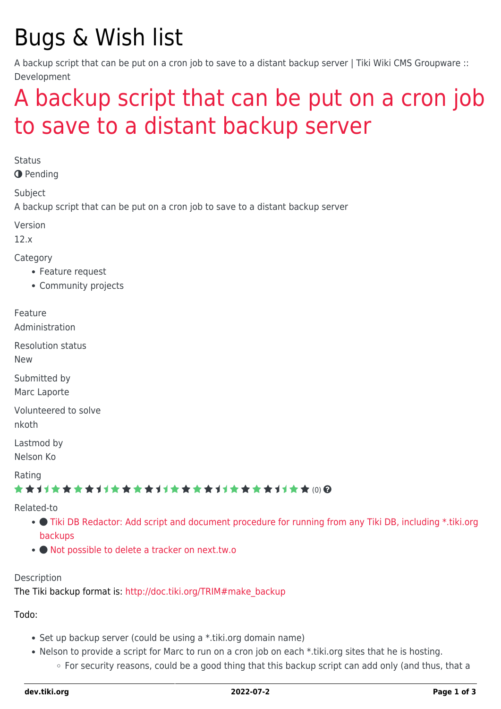# Bugs & Wish list

A backup script that can be put on a cron job to save to a distant backup server | Tiki Wiki CMS Groupware :: Development

## [A backup script that can be put on a cron job](https://dev.tiki.org/item4665-A-backup-script-that-can-be-put-on-a-cron-job-to-save-to-a-distant-backup-server) [to save to a distant backup server](https://dev.tiki.org/item4665-A-backup-script-that-can-be-put-on-a-cron-job-to-save-to-a-distant-backup-server)

**Status** 

**O** Pending

Subject

A backup script that can be put on a cron job to save to a distant backup server

Version

12.x

Category

- Feature request
- Community projects

Feature

Administration

Resolution status

New

Submitted by Marc Laporte

Volunteered to solve nkoth

Lastmod by

Nelson Ko

Rating

#### \*\*\*\*\*\*\*\*\*\*\*\*\*\*\*\*\*\*\*\*\*\*\*\*\*\*\*\*\*\*

#### Related-to

- [Tiki DB Redactor: Add script and document procedure for running from any Tiki DB, including \\*.tiki.org](https://dev.tiki.org/item4677-Tiki-DB-Redactor-Add-script-and-document-procedure-for-running-from-any-Tiki-DB-including-tiki-org-backups) [backups](https://dev.tiki.org/item4677-Tiki-DB-Redactor-Add-script-and-document-procedure-for-running-from-any-Tiki-DB-including-tiki-org-backups)
- [Not possible to delete a tracker on next.tw.o](https://dev.tiki.org/item4653-Not-possible-to-delete-a-tracker-on-next-tw-o)

#### Description

The Tiki backup format is: [http://doc.tiki.org/TRIM#make\\_backup](http://doc.tiki.org/TRIM#make_backup)

Todo:

- Set up backup server (could be using a \*.tiki.org domain name)
- Nelson to provide a script for Marc to run on a cron job on each \*.tiki.org sites that he is hosting. ○ For security reasons, could be a good thing that this backup script can add only (and thus, that a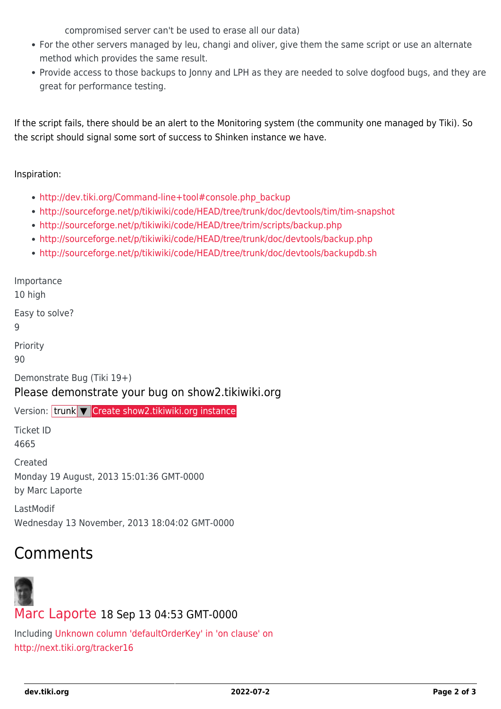compromised server can't be used to erase all our data)

- For the other servers managed by leu, changi and oliver, give them the same script or use an alternate method which provides the same result.
- Provide access to those backups to Jonny and LPH as they are needed to solve dogfood bugs, and they are great for performance testing.

If the script fails, there should be an alert to the Monitoring system (the community one managed by Tiki). So the script should signal some sort of success to Shinken instance we have.

Inspiration:

- [http://dev.tiki.org/Command-line+tool#console.php\\_backup](http://dev.tiki.org/Command-line+tool#console.php_backup)
- <http://sourceforge.net/p/tikiwiki/code/HEAD/tree/trunk/doc/devtools/tim/tim-snapshot>
- <http://sourceforge.net/p/tikiwiki/code/HEAD/tree/trim/scripts/backup.php>
- <http://sourceforge.net/p/tikiwiki/code/HEAD/tree/trunk/doc/devtools/backup.php>
- <http://sourceforge.net/p/tikiwiki/code/HEAD/tree/trunk/doc/devtools/backupdb.sh>

Importance 10 high

Easy to solve?

9

Priority

90

Demonstrate Bug (Tiki 19+)

#### Please demonstrate your bug on show2.tikiwiki.org

Version: trunk ▼ [Create show2.tikiwiki.org instance](#page--1-0)

Ticket ID 4665

Created Monday 19 August, 2013 15:01:36 GMT-0000 by Marc Laporte

LastModif Wednesday 13 November, 2013 18:04:02 GMT-0000

### Comments



### [Marc Laporte](https://dev.tiki.org/user11197) 18 Sep 13 04:53 GMT-0000

Including [Unknown column 'defaultOrderKey' in 'on clause' on](https://dev.tiki.org/wish4609) <http://next.tiki.org/tracker16>